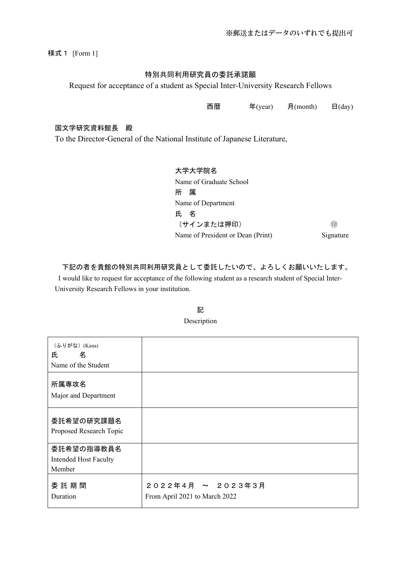様式1 [Form 1]

### 特別共同利用研究員の委託承諾願

Request for acceptance of a student as Special Inter-University Research Fellows

西暦 年(year) 月(month) 日(day)

#### 国文学研究資料館長 殿

To the Director-General of the National Institute of Japanese Literature,

大学大学院名 Name of Graduate School 所 属 Name of Department 氏 名 (サインまたは押印) ㊞ Name of President or Dean (Print) Signature

### 下記の者を貴館の特別共同利用研究員として委託したいので、よろしくお願いいたします。

I would like to request for acceptance of the following student as a research student of Special Inter-University Research Fellows in your institution.

| (ふりがな) (Kana)<br>氏<br>名<br>Name of the Student       |                                                    |
|------------------------------------------------------|----------------------------------------------------|
| 所属専攻名<br>Major and Department                        |                                                    |
| 委託希望の研究課題名<br>Proposed Research Topic                |                                                    |
| 委託希望の指導教員名<br><b>Intended Host Faculty</b><br>Member |                                                    |
| 委託期間<br>Duration                                     | 2022年4月 ~ 2023年3月<br>From April 2021 to March 2022 |

### 記 Description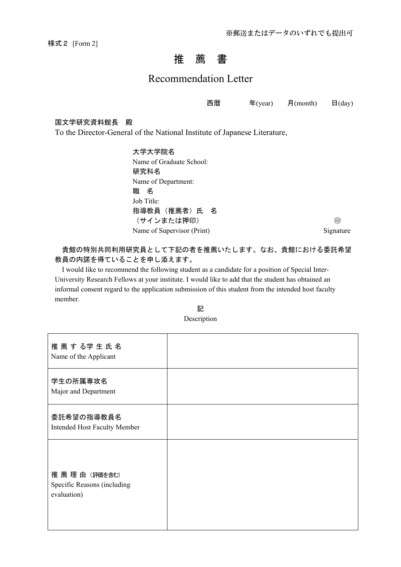様式2 [Form 2]

## 推 薦 書

### Recommendation Letter

西暦 年(year) 月(month) 日(day)

### 国文学研究資料館長 殿

To the Director-General of the National Institute of Japanese Literature,

大学大学院名 Name of Graduate School: 研究科名 Name of Department: 職 名 Job Title: 指導教員(推薦者)氏 名 (サインまたは押印) ㊞ Name of Supervisor (Print) Signature

### 貴館の特別共同利用研究員として下記の者を推薦いたします。なお、貴館における委託希望 教員の内諾を得ていることを申し添えます。

I would like to recommend the following student as a candidate for a position of Special Inter-University Research Fellows at your institute. I would like to add that the student has obtained an informal consent regard to the application submission of this student from the intended host faculty member.

| 記           |  |
|-------------|--|
| Description |  |

| 推薦する学生氏名<br>Name of the Applicant                          |  |
|------------------------------------------------------------|--|
| 学生の所属専攻名<br>Major and Department                           |  |
| 委託希望の指導教員名<br><b>Intended Host Faculty Member</b>          |  |
| 推薦理由 (評価を含む)<br>Specific Reasons (including<br>evaluation) |  |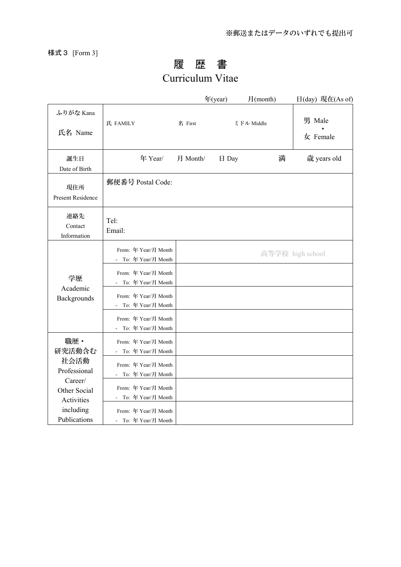様式3 [Form 3]

# 履 歴 書

# Curriculum Vitae

|                                 |                                                              |          | 年(year) | 月(month)   | 日(day) 現在(As of)                         |
|---------------------------------|--------------------------------------------------------------|----------|---------|------------|------------------------------------------|
| ふりがな Kana<br>氏名 Name            | 氏 FAMILY                                                     | 名 First  |         | ミドル Middle | 男 Male<br>$\frac{1}{\mathcal{K}}$ Female |
| 誕生日<br>Date of Birth            | 年 Year/                                                      | 月 Month/ | 日 Day   | 満          | 歳 years old                              |
| 現住所<br>Present Residence        | 郵便番号 Postal Code:                                            |          |         |            |                                          |
| 連絡先<br>Contact<br>Information   | Tel:<br>Email:                                               |          |         |            |                                          |
|                                 | From: 年 Year/月 Month<br>To: 年 Year/月 Month<br>$\sim$         |          |         |            | 高等学校 high school                         |
| 学歴<br>Academic<br>Backgrounds   | From: 年 Year/月 Month<br>To: 年 Year/月 Month                   |          |         |            |                                          |
|                                 | From: 年 Year/月 Month<br>To: 年 Year/月 Month                   |          |         |            |                                          |
|                                 | From: 年 Year/月 Month<br>- To: 年 Year/月 Month                 |          |         |            |                                          |
| 職歴·<br>研究活動含む                   | From: 年 Year/月 Month<br>To: 年 Year/月 Month<br>$\sim$         |          |         |            |                                          |
| 社会活動<br>Professional<br>Career/ | From: 年 Year/月 Month<br>To: 年 Year/月 Month<br>$\overline{a}$ |          |         |            |                                          |
| Other Social<br>Activities      | From: 年 Year/月 Month<br>To: 年 Year/月 Month                   |          |         |            |                                          |
| including<br>Publications       | From: 年 Year/月 Month<br>- To: 年 Year/月 Month                 |          |         |            |                                          |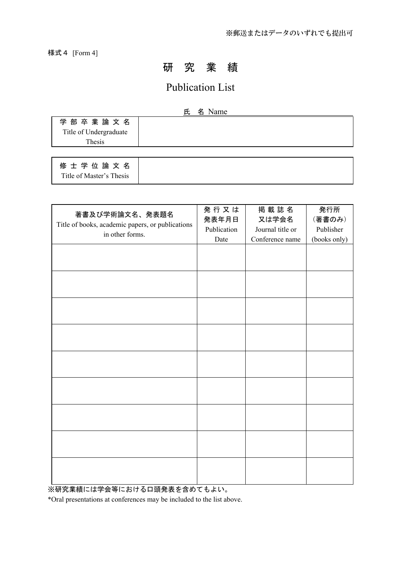様式4 [Form 4]

## 研 究 業 績

## Publication List

### 氏 名 Name

| 学部卒業論文名                                                                                                                                                                                                                                                                                                                                                                              |  |
|--------------------------------------------------------------------------------------------------------------------------------------------------------------------------------------------------------------------------------------------------------------------------------------------------------------------------------------------------------------------------------------|--|
| Title of Undergraduate                                                                                                                                                                                                                                                                                                                                                               |  |
| Thesis                                                                                                                                                                                                                                                                                                                                                                               |  |
|                                                                                                                                                                                                                                                                                                                                                                                      |  |
| $\overline{a}$ $\overline{a}$ $\overline{a}$ $\overline{a}$ $\overline{a}$ $\overline{a}$ $\overline{a}$ $\overline{a}$ $\overline{a}$ $\overline{a}$ $\overline{a}$ $\overline{a}$ $\overline{a}$ $\overline{a}$ $\overline{a}$ $\overline{a}$ $\overline{a}$ $\overline{a}$ $\overline{a}$ $\overline{a}$ $\overline{a}$ $\overline{a}$ $\overline{a}$ $\overline{a}$ $\overline{$ |  |

修士学位論文名 Title of Master's Thesis

| 著書及び学術論文名、発表題名<br>Title of books, academic papers, or publications<br>in other forms. | 発行又は<br>発表年月日<br>Publication<br>Date | 掲載誌名<br>又は学会名<br>Journal title or<br>Conference name | 発行所<br>(著書のみ)<br>Publisher<br>(books only) |
|---------------------------------------------------------------------------------------|--------------------------------------|------------------------------------------------------|--------------------------------------------|
|                                                                                       |                                      |                                                      |                                            |
|                                                                                       |                                      |                                                      |                                            |
|                                                                                       |                                      |                                                      |                                            |
|                                                                                       |                                      |                                                      |                                            |
|                                                                                       |                                      |                                                      |                                            |
|                                                                                       |                                      |                                                      |                                            |
|                                                                                       |                                      |                                                      |                                            |
|                                                                                       |                                      |                                                      |                                            |
|                                                                                       |                                      |                                                      |                                            |

※研究業績には学会等における口頭発表を含めてもよい。

\*Oral presentations at conferences may be included to the list above.